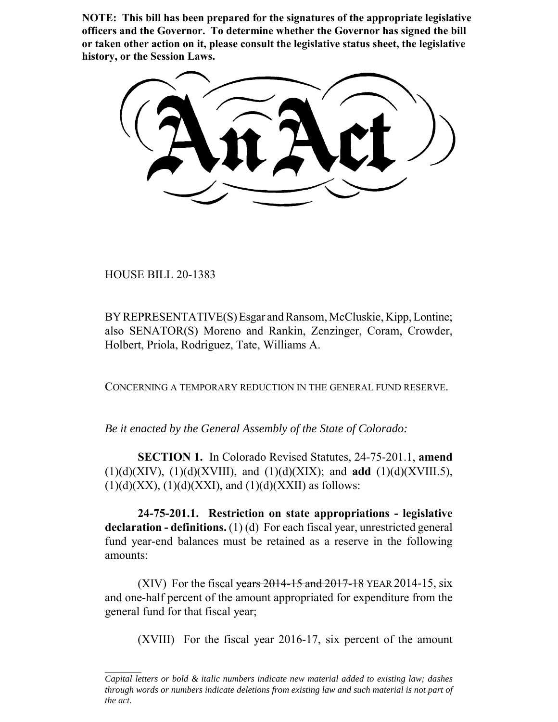**NOTE: This bill has been prepared for the signatures of the appropriate legislative officers and the Governor. To determine whether the Governor has signed the bill or taken other action on it, please consult the legislative status sheet, the legislative history, or the Session Laws.**

HOUSE BILL 20-1383

BY REPRESENTATIVE(S) Esgar and Ransom, McCluskie, Kipp, Lontine; also SENATOR(S) Moreno and Rankin, Zenzinger, Coram, Crowder, Holbert, Priola, Rodriguez, Tate, Williams A.

CONCERNING A TEMPORARY REDUCTION IN THE GENERAL FUND RESERVE.

*Be it enacted by the General Assembly of the State of Colorado:*

**SECTION 1.** In Colorado Revised Statutes, 24-75-201.1, **amend** (1)(d)(XIV), (1)(d)(XVIII), and (1)(d)(XIX); and **add** (1)(d)(XVIII.5),  $(1)(d)(XX)$ ,  $(1)(d)(XX)$ , and  $(1)(d)(XX)$  as follows:

**24-75-201.1. Restriction on state appropriations - legislative declaration - definitions.** (1) (d) For each fiscal year, unrestricted general fund year-end balances must be retained as a reserve in the following amounts:

(XIV) For the fiscal years  $2014 - 15$  and  $2017 - 18$  YEAR 2014-15, six and one-half percent of the amount appropriated for expenditure from the general fund for that fiscal year;

(XVIII) For the fiscal year 2016-17, six percent of the amount

*Capital letters or bold & italic numbers indicate new material added to existing law; dashes through words or numbers indicate deletions from existing law and such material is not part of the act.*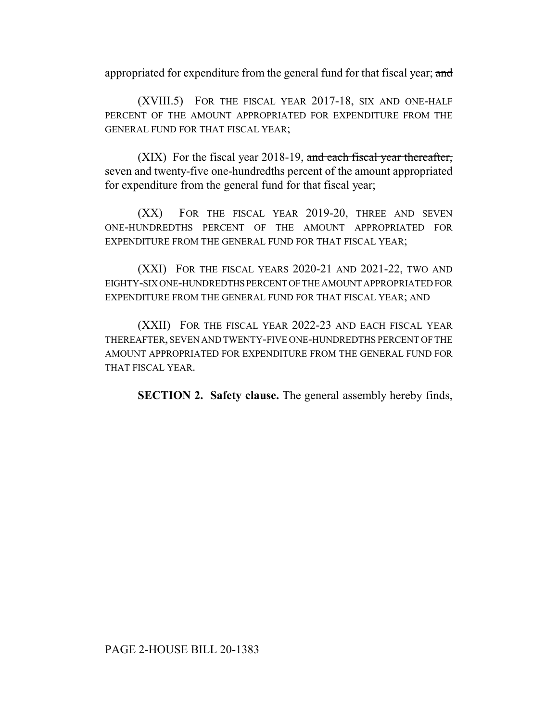appropriated for expenditure from the general fund for that fiscal year; and

(XVIII.5) FOR THE FISCAL YEAR 2017-18, SIX AND ONE-HALF PERCENT OF THE AMOUNT APPROPRIATED FOR EXPENDITURE FROM THE GENERAL FUND FOR THAT FISCAL YEAR;

(XIX) For the fiscal year 2018-19, and each fiscal year thereafter, seven and twenty-five one-hundredths percent of the amount appropriated for expenditure from the general fund for that fiscal year;

(XX) FOR THE FISCAL YEAR 2019-20, THREE AND SEVEN ONE-HUNDREDTHS PERCENT OF THE AMOUNT APPROPRIATED FOR EXPENDITURE FROM THE GENERAL FUND FOR THAT FISCAL YEAR;

(XXI) FOR THE FISCAL YEARS 2020-21 AND 2021-22, TWO AND EIGHTY-SIX ONE-HUNDREDTHS PERCENT OF THE AMOUNT APPROPRIATED FOR EXPENDITURE FROM THE GENERAL FUND FOR THAT FISCAL YEAR; AND

(XXII) FOR THE FISCAL YEAR 2022-23 AND EACH FISCAL YEAR THEREAFTER, SEVEN AND TWENTY-FIVE ONE-HUNDREDTHS PERCENT OF THE AMOUNT APPROPRIATED FOR EXPENDITURE FROM THE GENERAL FUND FOR THAT FISCAL YEAR.

**SECTION 2. Safety clause.** The general assembly hereby finds,